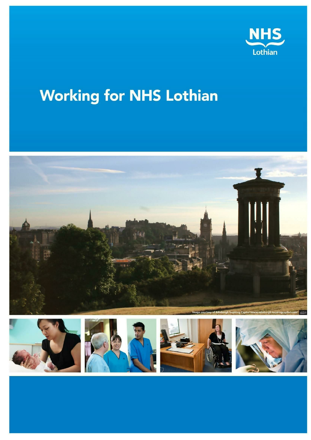

# **Working for NHS Lothian**









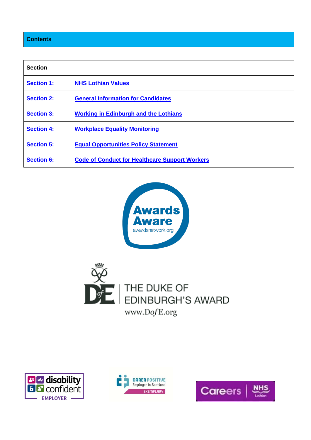## **Contents**

| <b>Section</b>    |                                                       |
|-------------------|-------------------------------------------------------|
| <b>Section 1:</b> | <b>NHS Lothian Values</b>                             |
| <b>Section 2:</b> | <b>General Information for Candidates</b>             |
| <b>Section 3:</b> | <b>Working in Edinburgh and the Lothians</b>          |
| <b>Section 4:</b> | <b>Workplace Equality Monitoring</b>                  |
| <b>Section 5:</b> | <b>Equal Opportunities Policy Statement</b>           |
| <b>Section 6:</b> | <b>Code of Conduct for Healthcare Support Workers</b> |









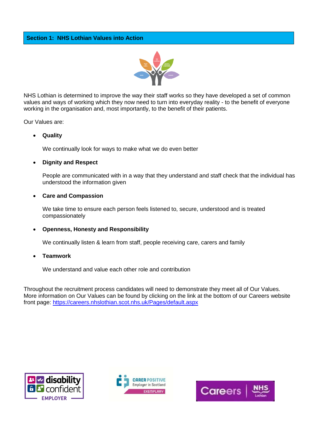

<span id="page-2-0"></span>NHS Lothian is determined to improve the way their staff works so they have developed a set of common values and ways of working which they now need to turn into everyday reality - to the benefit of everyone working in the organisation and, most importantly, to the benefit of their patients.

Our Values are:

## **Quality**

We continually look for ways to make what we do even better

## **Dignity and Respect**

People are communicated with in a way that they understand and staff check that the individual has understood the information given

### **Care and Compassion**

We take time to ensure each person feels listened to, secure, understood and is treated compassionately

## **Openness, Honesty and Responsibility**

We continually listen & learn from staff, people receiving care, carers and family

#### **Teamwork**

We understand and value each other role and contribution

Throughout the recruitment process candidates will need to demonstrate they meet all of Our Values. More information on Our Values can be found by clicking on the link at the bottom of our Careers website front page: https://careers.nhslothian.scot.nhs.uk/Pages/default.aspx





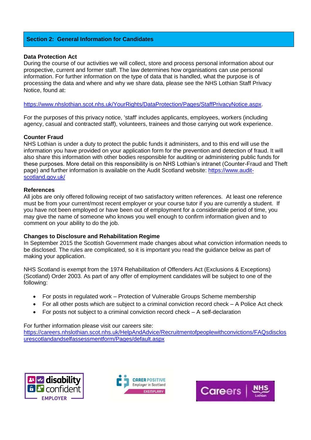## <span id="page-3-0"></span>**Section 2: General Information for Candidates**

### **Data Protection Act**

During the course of our activities we will collect, store and process personal information about our prospective, current and former staff. The law determines how organisations can use personal information. For further information on the type of data that is handled, what the purpose is of processing the data and where and why we share data, please see the NHS Lothian Staff Privacy Notice, found at:

https://www.nhslothian.scot.nhs.uk/YourRights/DataProtection/Pages/StaffPrivacyNotice.aspx.

For the purposes of this privacy notice, 'staff' includes applicants, employees, workers (including agency, casual and contracted staff), volunteers, trainees and those carrying out work experience.

### **Counter Fraud**

NHS Lothian is under a duty to protect the public funds it administers, and to this end will use the information you have provided on your application form for the prevention and detection of fraud. It will also share this information with other bodies responsible for auditing or administering public funds for these purposes. More detail on this responsibility is on NHS Lothian's intranet (Counter-Fraud and Theft page) and further information is available on the Audit Scotland website: https://www.auditscotland.gov.uk/

#### **References**

All jobs are only offered following receipt of two satisfactory written references. At least one reference must be from your current/most recent employer or your course tutor if you are currently a student. If you have not been employed or have been out of employment for a considerable period of time, you may give the name of someone who knows you well enough to confirm information given and to comment on your ability to do the job.

#### **Changes to Disclosure and Rehabilitation Regime**

In September 2015 the Scottish Government made changes about what conviction information needs to be disclosed. The rules are complicated, so it is important you read the guidance below as part of making your application.

NHS Scotland is exempt from the 1974 Rehabilitation of Offenders Act (Exclusions & Exceptions) (Scotland) Order 2003. As part of any offer of employment candidates will be subject to one of the following:

- For posts in regulated work Protection of Vulnerable Groups Scheme membership
- For all other posts which are subject to a criminal conviction record check A Police Act check
- For posts not subject to a criminal conviction record check A self-declaration

For further information please visit our careers site:

https://careers.nhslothian.scot.nhs.uk/HelpAndAdvice/Recruitmentofpeoplewithconvictions/FAQsdisclos urescotlandandselfassessmentform/Pages/default.aspx





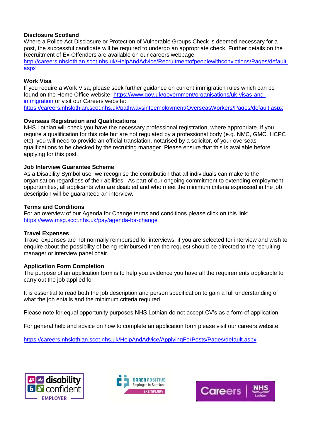## **Disclosure Scotland**

Where a Police Act Disclosure or Protection of Vulnerable Groups Check is deemed necessary for a post, the successful candidate will be required to undergo an appropriate check. Further details on the Recruitment of Ex-Offenders are available on our careers webpage: http://careers.nhslothian.scot.nhs.uk/HelpAndAdvice/Recruitmentofpeoplewithconvictions/Pages/default. aspx

## **Work Visa**

If you require a Work Visa, please seek further guidance on current immigration rules which can be found on the Home Office website: https://www.gov.uk/government/organisations/uk-visas-andimmigration or visit our Careers website:

https://careers.nhslothian.scot.nhs.uk/pathwaysintoemployment/OverseasWorkers/Pages/default.aspx

## **Overseas Registration and Qualifications**

NHS Lothian will check you have the necessary professional registration, where appropriate. If you require a qualification for this role but are not regulated by a professional body (e.g. NMC, GMC, HCPC etc), you will need to provide an official translation, notarised by a solicitor, of your overseas qualifications to be checked by the recruiting manager. Please ensure that this is available before applying for this post.

### **Job Interview Guarantee Scheme**

As a Disability Symbol user we recognise the contribution that all individuals can make to the organisation regardless of their abilities. As part of our ongoing commitment to extending employment opportunities, all applicants who are disabled and who meet the minimum criteria expressed in the job description will be guaranteed an interview.

### **Terms and Conditions**

For an overview of our Agenda for Change terms and conditions please click on this link: https://www.msg.scot.nhs.uk/pay/agenda-for-change

## **Travel Expenses**

Travel expenses are not normally reimbursed for interviews, if you are selected for interview and wish to enquire about the possibility of being reimbursed then the request should be directed to the recruiting manager or interview panel chair.

#### **Application Form Completion**

The purpose of an application form is to help you evidence you have all the requirements applicable to carry out the job applied for.

It is essential to read both the job description and person specification to gain a full understanding of what the job entails and the minimum criteria required.

Please note for equal opportunity purposes NHS Lothian do not accept CV's as a form of application.

For general help and advice on how to complete an application form please visit our careers website:

https://careers.nhslothian.scot.nhs.uk/HelpAndAdvice/ApplyingForPosts/Pages/default.aspx





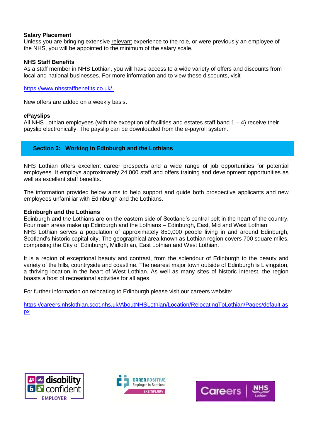## <span id="page-5-0"></span>**Salary Placement**

Unless you are bringing extensive relevant experience to the role, or were previously an employee of the NHS, you will be appointed to the minimum of the salary scale.

## **NHS Staff Benefits**

As a staff member in NHS Lothian, you will have access to a wide variety of offers and discounts from local and national businesses. For more information and to view these discounts, visit

https://www.nhsstaffbenefits.co.uk/

New offers are added on a weekly basis.

### **ePayslips**

All NHS Lothian employees (with the exception of facilities and estates staff band  $1 - 4$ ) receive their payslip electronically. The payslip can be downloaded from the e-payroll system.

## **Section 3: Working in Edinburgh and the Lothians**

NHS Lothian offers excellent career prospects and a wide range of job opportunities for potential employees. It employs approximately 24,000 staff and offers training and development opportunities as well as excellent staff benefits.

The information provided below aims to help support and guide both prospective applicants and new employees unfamiliar with Edinburgh and the Lothians.

#### **Edinburgh and the Lothians**

Edinburgh and the Lothians are on the eastern side of Scotland's central belt in the heart of the country. Four main areas make up Edinburgh and the Lothians – Edinburgh, East, Mid and West Lothian. NHS Lothian serves a population of approximately 850,000 people living in and around Edinburgh, Scotland's historic capital city. The geographical area known as Lothian region covers 700 square miles, comprising the City of Edinburgh, Midlothian, East Lothian and West Lothian.

It is a region of exceptional beauty and contrast, from the splendour of Edinburgh to the beauty and variety of the hills, countryside and coastline. The nearest major town outside of Edinburgh is Livingston, a thriving location in the heart of West Lothian. As well as many sites of historic interest, the region boasts a host of recreational activities for all ages.

For further information on relocating to Edinburgh please visit our careers website:

https://careers.nhslothian.scot.nhs.uk/AboutNHSLothian/Location/RelocatingToLothian/Pages/default.as px